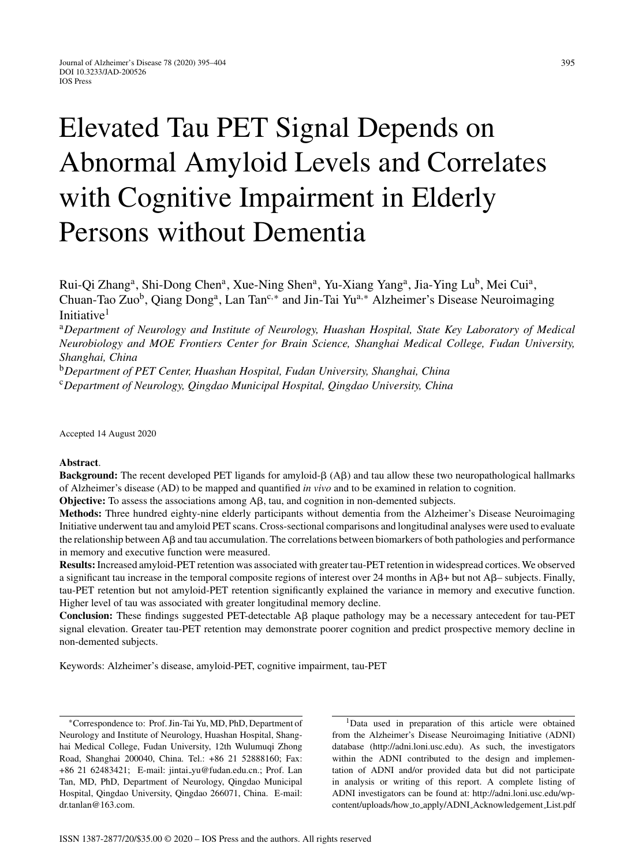# Elevated Tau PET Signal Depends on Abnormal Amyloid Levels and Correlates with Cognitive Impairment in Elderly Persons without Dementia

Rui-Qi Zhang<sup>a</sup>, Shi-Dong Chen<sup>a</sup>, Xue-Ning Shen<sup>a</sup>, Yu-Xiang Yang<sup>a</sup>, Jia-Ying Lu<sup>b</sup>, Mei Cui<sup>a</sup>, Chuan-Tao Zuo<sup>b</sup>, Qiang Dong<sup>a</sup>, Lan Tan<sup>c,∗</sup> and Jin-Tai Yu<sup>a,∗</sup> Alzheimer's Disease Neuroimaging Initiative<sup>1</sup>

<sup>a</sup>*Department of Neurology and Institute of Neurology, Huashan Hospital, State Key Laboratory of Medical Neurobiology and MOE Frontiers Center for Brain Science, Shanghai Medical College, Fudan University, Shanghai, China*

<sup>b</sup>*Department of PET Center, Huashan Hospital, Fudan University, Shanghai, China* <sup>c</sup>*Department of Neurology, Qingdao Municipal Hospital, Qingdao University, China*

Accepted 14 August 2020

#### **Abstract**.

**Background:** The recent developed PET ligands for amyloid- $\beta$  (A $\beta$ ) and tau allow these two neuropathological hallmarks of Alzheimer's disease (AD) to be mapped and quantified *in vivo* and to be examined in relation to cognition.

**Objective:** To assess the associations among  $\mathsf{A}\mathsf{B}$ , tau, and cognition in non-demented subjects.

**Methods:** Three hundred eighty-nine elderly participants without dementia from the Alzheimer's Disease Neuroimaging Initiative underwent tau and amyloid PET scans. Cross-sectional comparisons and longitudinal analyses were used to evaluate the relationship between  $\beta$  and tau accumulation. The correlations between biomarkers of both pathologies and performance in memory and executive function were measured.

**Results:** Increased amyloid-PET retention was associated with greater tau-PET retention in widespread cortices. We observed a significant tau increase in the temporal composite regions of interest over 24 months in  $\mathbb{A}\beta + \text{but not } \mathbb{A}\beta - \text{subjects}$ . Finally, tau-PET retention but not amyloid-PET retention significantly explained the variance in memory and executive function. Higher level of tau was associated with greater longitudinal memory decline.

Conclusion: These findings suggested PET-detectable A $\beta$  plaque pathology may be a necessary antecedent for tau-PET signal elevation. Greater tau-PET retention may demonstrate poorer cognition and predict prospective memory decline in non-demented subjects.

Keywords: Alzheimer's disease, amyloid-PET, cognitive impairment, tau-PET

∗Correspondence to: Prof. Jin-Tai Yu, MD, PhD, Department of Neurology and Institute of Neurology, Huashan Hospital, Shanghai Medical College, Fudan University, 12th Wulumuqi Zhong Road, Shanghai 200040, China. Tel.: +86 21 52888160; Fax: +86 21 62483421; E-mail: jintai [yu@fudan.edu.cn](mailto:jintai_yu@fudan.edu.cn).; Prof. Lan Tan, MD, PhD, Department of Neurology, Qingdao Municipal Hospital, Qingdao University, Qingdao 266071, China. E-mail: [dr.tanlan@163.com.](mailto:dr.tanlan@163.com)

<sup>1</sup>Data used in preparation of this article were obtained from the Alzheimer's Disease Neuroimaging Initiative (ADNI) database (<http://adni.loni.usc.edu>). As such, the investigators within the ADNI contributed to the design and implementation of ADNI and/or provided data but did not participate in analysis or writing of this report. A complete listing of ADNI investigators can be found at: [http://adni.loni.usc.edu/wp](http://adni.loni.usc.edu/wp-content/uploads/how_to_apply/ADNI_Acknowledgement_List.pdf)content/uploads/how to apply/ADNI Acknowledgement List.pdf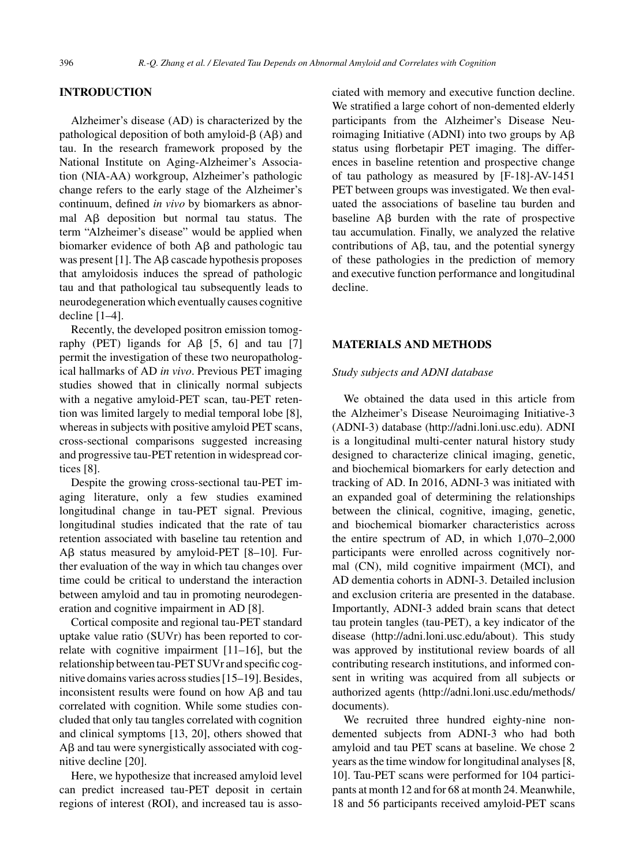## **INTRODUCTION**

Alzheimer's disease (AD) is characterized by the pathological deposition of both amyloid- $\beta$  (A $\beta$ ) and tau. In the research framework proposed by the National Institute on Aging-Alzheimer's Association (NIA-AA) workgroup, Alzheimer's pathologic change refers to the early stage of the Alzheimer's continuum, defined *in vivo* by biomarkers as abnormal  $\overrightarrow{AB}$  deposition but normal tau status. The term "Alzheimer's disease" would be applied when biomarker evidence of both  $\text{A}\beta$  and pathologic tau was present [1]. The  $\text{A}\beta$  cascade hypothesis proposes that amyloidosis induces the spread of pathologic tau and that pathological tau subsequently leads to neurodegeneration which eventually causes cognitive decline [1–4].

Recently, the developed positron emission tomography (PET) ligands for  $A\beta$  [5, 6] and tau [7] permit the investigation of these two neuropathological hallmarks of AD *in vivo*. Previous PET imaging studies showed that in clinically normal subjects with a negative amyloid-PET scan, tau-PET retention was limited largely to medial temporal lobe [8], whereas in subjects with positive amyloid PET scans, cross-sectional comparisons suggested increasing and progressive tau-PET retention in widespread cortices [8].

Despite the growing cross-sectional tau-PET imaging literature, only a few studies examined longitudinal change in tau-PET signal. Previous longitudinal studies indicated that the rate of tau retention associated with baseline tau retention and  $\text{A}\beta$  status measured by amyloid-PET [8-10]. Further evaluation of the way in which tau changes over time could be critical to understand the interaction between amyloid and tau in promoting neurodegeneration and cognitive impairment in AD [8].

Cortical composite and regional tau-PET standard uptake value ratio (SUVr) has been reported to correlate with cognitive impairment [11–16], but the relationship between tau-PET SUVr and specific cognitive domains varies across studies [15–19]. Besides, inconsistent results were found on how  $A\beta$  and tau correlated with cognition. While some studies concluded that only tau tangles correlated with cognition and clinical symptoms [13, 20], others showed that  $A\beta$  and tau were synergistically associated with cognitive decline [20].

Here, we hypothesize that increased amyloid level can predict increased tau-PET deposit in certain regions of interest (ROI), and increased tau is associated with memory and executive function decline. We stratified a large cohort of non-demented elderly participants from the Alzheimer's Disease Neuroimaging Initiative (ADNI) into two groups by  $A\beta$ status using florbetapir PET imaging. The differences in baseline retention and prospective change of tau pathology as measured by [F-18]-AV-1451 PET between groups was investigated. We then evaluated the associations of baseline tau burden and baseline  $\overrightarrow{AB}$  burden with the rate of prospective tau accumulation. Finally, we analyzed the relative contributions of  $A\beta$ , tau, and the potential synergy of these pathologies in the prediction of memory and executive function performance and longitudinal decline.

## **MATERIALS AND METHODS**

#### *Study subjects and ADNI database*

We obtained the data used in this article from the Alzheimer's Disease Neuroimaging Initiative-3 (ADNI-3) database [\(http://adni.loni.usc.edu\)](http://adni.loni.usc.edu). ADNI is a longitudinal multi-center natural history study designed to characterize clinical imaging, genetic, and biochemical biomarkers for early detection and tracking of AD. In 2016, ADNI-3 was initiated with an expanded goal of determining the relationships between the clinical, cognitive, imaging, genetic, and biochemical biomarker characteristics across the entire spectrum of AD, in which 1,070–2,000 participants were enrolled across cognitively normal (CN), mild cognitive impairment (MCI), and AD dementia cohorts in ADNI-3. Detailed inclusion and exclusion criteria are presented in the database. Importantly, ADNI-3 added brain scans that detect tau protein tangles (tau-PET), a key indicator of the disease (<http://adni.loni.usc.edu/about>). This study was approved by institutional review boards of all contributing research institutions, and informed consent in writing was acquired from all subjects or authorized agents [\(http://adni.loni.usc.edu/methods/](http://adni.loni.usc.edu/methods/documents) documents).

We recruited three hundred eighty-nine nondemented subjects from ADNI-3 who had both amyloid and tau PET scans at baseline. We chose 2 years as the time window for longitudinal analyses [8, 10]. Tau-PET scans were performed for 104 participants at month 12 and for 68 at month 24. Meanwhile, 18 and 56 participants received amyloid-PET scans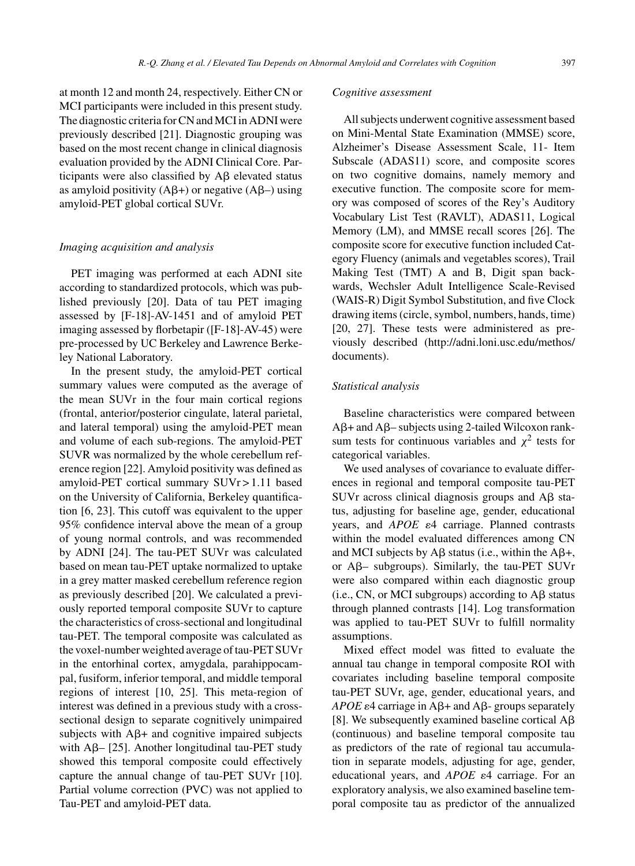at month 12 and month 24, respectively. Either CN or MCI participants were included in this present study. The diagnostic criteria for CN and MCI in ADNI were previously described [21]. Diagnostic grouping was based on the most recent change in clinical diagnosis evaluation provided by the ADNI Clinical Core. Participants were also classified by  $\text{A}\beta$  elevated status as amyloid positivity  $(A\beta+)$  or negative  $(A\beta-)$  using amyloid-PET global cortical SUVr.

#### *Imaging acquisition and analysis*

PET imaging was performed at each ADNI site according to standardized protocols, which was published previously [20]. Data of tau PET imaging assessed by [F-18]-AV-1451 and of amyloid PET imaging assessed by florbetapir ([F-18]-AV-45) were pre-processed by UC Berkeley and Lawrence Berkeley National Laboratory.

In the present study, the amyloid-PET cortical summary values were computed as the average of the mean SUVr in the four main cortical regions (frontal, anterior/posterior cingulate, lateral parietal, and lateral temporal) using the amyloid-PET mean and volume of each sub-regions. The amyloid-PET SUVR was normalized by the whole cerebellum reference region [22]. Amyloid positivity was defined as amyloid-PET cortical summary SUVr > 1.11 based on the University of California, Berkeley quantification [6, 23]. This cutoff was equivalent to the upper 95% confidence interval above the mean of a group of young normal controls, and was recommended by ADNI [24]. The tau-PET SUVr was calculated based on mean tau-PET uptake normalized to uptake in a grey matter masked cerebellum reference region as previously described [20]. We calculated a previously reported temporal composite SUVr to capture the characteristics of cross-sectional and longitudinal tau-PET. The temporal composite was calculated as the voxel-number weighted average of tau-PET SUVr in the entorhinal cortex, amygdala, parahippocampal, fusiform, inferior temporal, and middle temporal regions of interest [10, 25]. This meta-region of interest was defined in a previous study with a crosssectional design to separate cognitively unimpaired subjects with  $A\beta$ + and cognitive impaired subjects with  $A\beta$ - [25]. Another longitudinal tau-PET study showed this temporal composite could effectively capture the annual change of tau-PET SUVr [10]. Partial volume correction (PVC) was not applied to Tau-PET and amyloid-PET data.

#### *Cognitive assessment*

All subjects underwent cognitive assessment based on Mini-Mental State Examination (MMSE) score, Alzheimer's Disease Assessment Scale, 11- Item Subscale (ADAS11) score, and composite scores on two cognitive domains, namely memory and executive function. The composite score for memory was composed of scores of the Rey's Auditory Vocabulary List Test (RAVLT), ADAS11, Logical Memory (LM), and MMSE recall scores [26]. The composite score for executive function included Category Fluency (animals and vegetables scores), Trail Making Test (TMT) A and B, Digit span backwards, Wechsler Adult Intelligence Scale-Revised (WAIS-R) Digit Symbol Substitution, and five Clock drawing items (circle, symbol, numbers, hands, time) [20, 27]. These tests were administered as previously described [\(http://adni.loni.usc.edu/methos/](http://adni.loni.usc.edu/methos/documents) documents).

#### *Statistical analysis*

Baseline characteristics were compared between  $A\beta$ + and  $A\beta$ – subjects using 2-tailed Wilcoxon ranksum tests for continuous variables and  $\chi^2$  tests for categorical variables.

We used analyses of covariance to evaluate differences in regional and temporal composite tau-PET SUVr across clinical diagnosis groups and  $\text{A}\beta$  status, adjusting for baseline age, gender, educational years, and *APOE*  $\varepsilon$ 4 carriage. Planned contrasts within the model evaluated differences among CN and MCI subjects by A $\beta$  status (i.e., within the A $\beta$ +, or  $A\beta$ - subgroups). Similarly, the tau-PET SUVr were also compared within each diagnostic group  $(i.e., CN, or MCI subgroups) according to A $\beta$  status$ through planned contrasts [14]. Log transformation was applied to tau-PET SUVr to fulfill normality assumptions.

Mixed effect model was fitted to evaluate the annual tau change in temporal composite ROI with covariates including baseline temporal composite tau-PET SUVr, age, gender, educational years, and  $APOE$   $\varepsilon$ 4 carriage in A $\beta$ + and A $\beta$ - groups separately [8]. We subsequently examined baseline cortical  $A\beta$ (continuous) and baseline temporal composite tau as predictors of the rate of regional tau accumulation in separate models, adjusting for age, gender, educational years, and *APOE*  $\varepsilon$ 4 carriage. For an exploratory analysis, we also examined baseline temporal composite tau as predictor of the annualized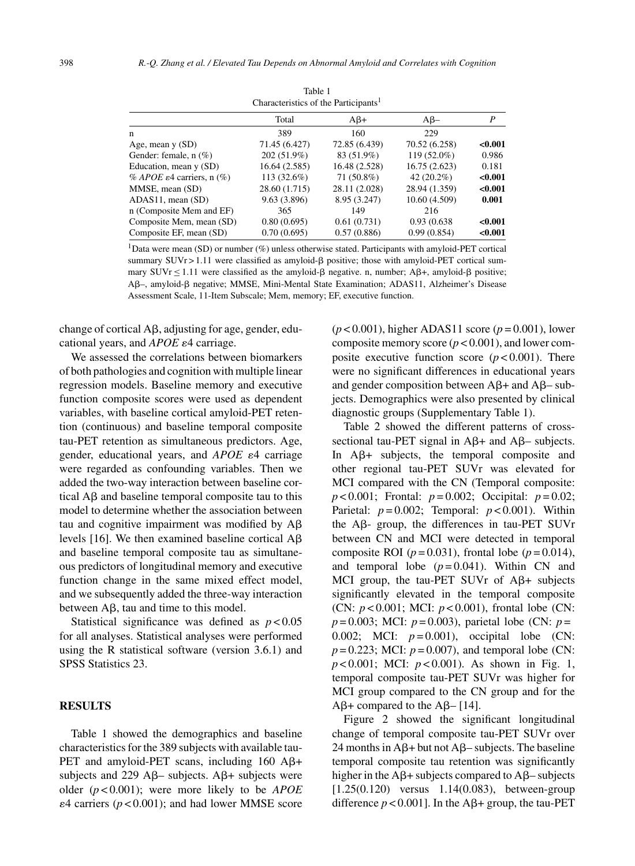| Characteristics of the Participants <sup>1</sup> |               |               |               |         |  |  |
|--------------------------------------------------|---------------|---------------|---------------|---------|--|--|
|                                                  | Total         | $A\beta +$    | $A\beta-$     | P       |  |  |
| n                                                | 389           | 160           | 229           |         |  |  |
| Age, mean $y(SD)$                                | 71.45 (6.427) | 72.85 (6.439) | 70.52 (6.258) | < 0.001 |  |  |
| Gender: female, $n$ (%)                          | 202 (51.9%)   | 83 (51.9%)    | 119 (52.0%)   | 0.986   |  |  |
| Education, mean y (SD)                           | 16.64 (2.585) | 16.48 (2.528) | 16.75 (2.623) | 0.181   |  |  |
| % APOE $\varepsilon$ 4 carriers, n $(\%)$        | 113 (32.6%)   | 71 (50.8%)    | $42(20.2\%)$  | < 0.001 |  |  |
| MMSE, mean (SD)                                  | 28.60 (1.715) | 28.11 (2.028) | 28.94 (1.359) | < 0.001 |  |  |
| ADAS11, mean (SD)                                | 9.63 (3.896)  | 8.95 (3.247)  | 10.60 (4.509) | 0.001   |  |  |
| n (Composite Mem and EF)                         | 365           | 149           | 216           |         |  |  |
| Composite Mem, mean (SD)                         | 0.80(0.695)   | 0.61(0.731)   | 0.93 (0.638)  | < 0.001 |  |  |
| Composite EF, mean (SD)                          | 0.70(0.695)   | 0.57(0.886)   | 0.99(0.854)   | < 0.001 |  |  |

Table 1 Characteristics of the Participants<sup>1</sup>

1Data were mean (SD) or number (%) unless otherwise stated. Participants with amyloid-PET cortical summary  $SUVr > 1.11$  were classified as amyloid- $\beta$  positive; those with amyloid-PET cortical summary  $SUVr \le 1.11$  were classified as the amyloid- $\beta$  negative. n, number;  $A\beta +$ , amyloid- $\beta$  positive; Aβ-, amyloid-β negative; MMSE, Mini-Mental State Examination; ADAS11, Alzheimer's Disease Assessment Scale, 11-Item Subscale; Mem, memory; EF, executive function.

change of cortical  $\mathsf{A}\mathsf{B}$ , adjusting for age, gender, educational years, and *APOE*  $\varepsilon$ 4 carriage.

We assessed the correlations between biomarkers of both pathologies and cognition with multiple linear regression models. Baseline memory and executive function composite scores were used as dependent variables, with baseline cortical amyloid-PET retention (continuous) and baseline temporal composite tau-PET retention as simultaneous predictors. Age, gender, educational years, and  $APOE \varepsilon 4$  carriage were regarded as confounding variables. Then we added the two-way interaction between baseline cortical  $A\beta$  and baseline temporal composite tau to this model to determine whether the association between tau and cognitive impairment was modified by  $A\beta$ levels [16]. We then examined baseline cortical  $A\beta$ and baseline temporal composite tau as simultaneous predictors of longitudinal memory and executive function change in the same mixed effect model, and we subsequently added the three-way interaction between  $\text{A}\beta$ , tau and time to this model.

Statistical significance was defined as *p* < 0.05 for all analyses. Statistical analyses were performed using the R statistical software (version 3.6.1) and SPSS Statistics 23.

## **RESULTS**

Table 1 showed the demographics and baseline characteristics for the 389 subjects with available tau-PET and amyloid-PET scans, including  $160$  A $\beta$ + subjects and 229 A $\beta$ – subjects. A $\beta$ + subjects were older (*p* < 0.001); were more likely to be *APOE*  $\epsilon$ 4 carriers ( $p$  < 0.001); and had lower MMSE score

(*p* < 0.001), higher ADAS11 score (*p* = 0.001), lower composite memory score (*p* < 0.001), and lower composite executive function score  $(p < 0.001)$ . There were no significant differences in educational years and gender composition between  $A\beta$ + and  $A\beta$ – subjects. Demographics were also presented by clinical diagnostic groups (Supplementary Table 1).

Table 2 showed the different patterns of crosssectional tau-PET signal in  $A\beta$ + and  $A\beta$ – subjects. In  $A\beta$ + subjects, the temporal composite and other regional tau-PET SUVr was elevated for MCI compared with the CN (Temporal composite: *p* < 0.001; Frontal: *p* = 0.002; Occipital: *p* = 0.02; Parietal:  $p = 0.002$ ; Temporal:  $p < 0.001$ ). Within the  $\mathbf{A}\mathbf{\beta}$ - group, the differences in tau-PET SUVr between CN and MCI were detected in temporal composite ROI ( $p = 0.031$ ), frontal lobe ( $p = 0.014$ ), and temporal lobe  $(p=0.041)$ . Within CN and MCI group, the tau-PET SUVr of  $A\beta$ + subjects significantly elevated in the temporal composite (CN: *p* < 0.001; MCI: *p* < 0.001), frontal lobe (CN:  $p = 0.003$ ; MCI:  $p = 0.003$ ), parietal lobe (CN:  $p =$ 0.002; MCI:  $p = 0.001$ ), occipital lobe (CN:  $p = 0.223$ ; MCI:  $p = 0.007$ ), and temporal lobe (CN: *p* < 0.001; MCI: *p* < 0.001). As shown in Fig. 1, temporal composite tau-PET SUVr was higher for MCI group compared to the CN group and for the  $A\beta$ + compared to the  $A\beta$ – [14].

Figure 2 showed the significant longitudinal change of temporal composite tau-PET SUVr over  $24$  months in A $\beta$ + but not A $\beta$ – subjects. The baseline temporal composite tau retention was significantly higher in the  $\mathbf{A}\mathbf{\beta}$ + subjects compared to  $\mathbf{A}\mathbf{\beta}$ – subjects [1.25(0.120) versus 1.14(0.083), between-group difference  $p < 0.001$ ]. In the A $\beta$ + group, the tau-PET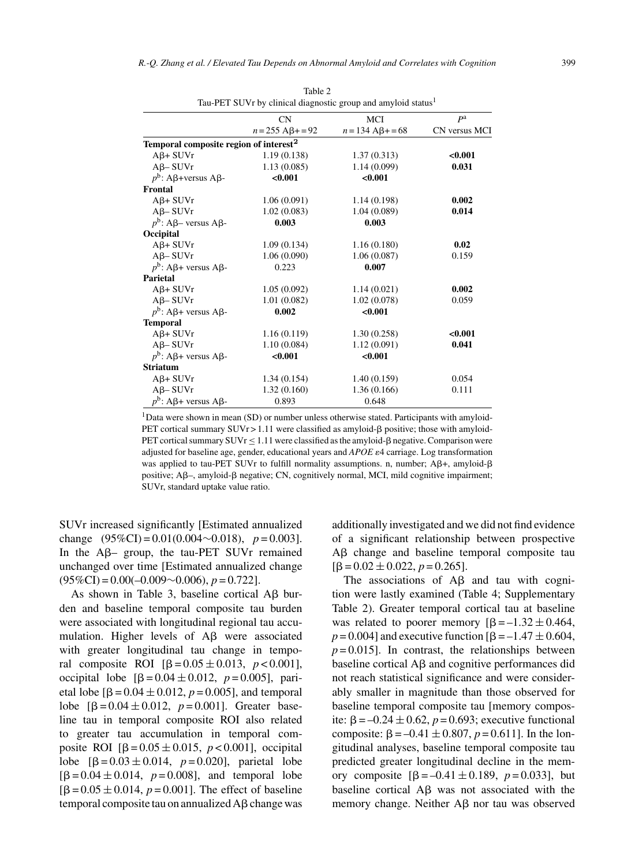|                                                    | CN                         | <b>MCI</b>                    | P <sup>a</sup> |
|----------------------------------------------------|----------------------------|-------------------------------|----------------|
|                                                    | $n = 255$ A $\beta$ + = 92 | $n = 134$ A <sub>B</sub> +=68 | CN versus MCI  |
| Temporal composite region of interest <sup>2</sup> |                            |                               |                |
| $A\beta + SUVr$                                    | 1.19(0.138)                | 1.37(0.313)                   | < 0.001        |
| $A\beta$ – SUVr                                    | 1.13(0.085)                | 1.14(0.099)                   | 0.031          |
| $p^b$ : A $\beta$ +versus A $\beta$ -              | < 0.001                    | < 0.001                       |                |
| Frontal                                            |                            |                               |                |
| $A\beta + SUVr$                                    | 1.06(0.091)                | 1.14(0.198)                   | 0.002          |
| $A\beta$ – SUVr                                    | 1.02(0.083)                | 1.04(0.089)                   | 0.014          |
| $p^b$ : A $\beta$ – versus A $\beta$ -             | 0.003                      | 0.003                         |                |
| Occipital                                          |                            |                               |                |
| $A\beta + SUVr$                                    | 1.09(0.134)                | 1.16(0.180)                   | 0.02           |
| $A\beta$ -SUVr                                     | 1.06(0.090)                | 1.06(0.087)                   | 0.159          |
| $p^b$ : A $\beta$ + versus A $\beta$ -             | 0.223                      | 0.007                         |                |
| Parietal                                           |                            |                               |                |
| $A\beta + SUVr$                                    | 1.05(0.092)                | 1.14(0.021)                   | 0.002          |
| $A\beta$ – SUVr                                    | 1.01(0.082)                | 1.02(0.078)                   | 0.059          |
| $p^b$ : A $\beta$ + versus A $\beta$ -             | 0.002                      | < 0.001                       |                |
| <b>Temporal</b>                                    |                            |                               |                |
| $A\beta + SUVr$                                    | 1.16(0.119)                | 1.30(0.258)                   | < 0.001        |
| $A\beta$ – SUVr                                    | 1.10(0.084)                | 1.12(0.091)                   | 0.041          |
| $p^b$ : Aβ+ versus Aβ-                             | < 0.001                    | < 0.001                       |                |
| <b>Striatum</b>                                    |                            |                               |                |
| $A\beta + SUVr$                                    | 1.34(0.154)                | 1.40(0.159)                   | 0.054          |
| $A\beta$ – SUVr                                    | 1.32(0.160)                | 1.36(0.166)                   | 0.111          |
| $p^b$ : Aβ+ versus Aβ-                             | 0.893                      | 0.648                         |                |

Table 2 Tau-PET SUVr by clinical diagnostic group and amyloid status<sup>1</sup>

<sup>1</sup>Data were shown in mean (SD) or number unless otherwise stated. Participants with amyloid-PET cortical summary  $SUVr > 1.11$  were classified as amyloid- $\beta$  positive; those with amyloid-PET cortical summary  $\text{SUVr} \leq 1.11$  were classified as the amyloid-β negative. Comparison were adjusted for baseline age, gender, educational years and *APOE*  $\varepsilon$ 4 carriage. Log transformation was applied to tau-PET SUVr to fulfill normality assumptions. n, number;  $A\beta +$ , amyloid- $\beta$ positive; A $\beta$ –, amyloid- $\beta$  negative; CN, cognitively normal, MCI, mild cognitive impairment; SUVr, standard uptake value ratio.

SUVr increased significantly [Estimated annualized change  $(95\%CI) = 0.01(0.004 \sim 0.018)$ ,  $p = 0.003$ ]. In the  $\mathsf{A}\mathsf{B}$ - group, the tau-PET SUVr remained unchanged over time [Estimated annualized change (95%CI) = 0.00(–0.009∼0.006), *p* = 0.722].

As shown in Table 3, baseline cortical  $\overrightarrow{AB}$  burden and baseline temporal composite tau burden were associated with longitudinal regional tau accumulation. Higher levels of  $\mathsf{A}\mathsf{B}$  were associated with greater longitudinal tau change in temporal composite ROI  $[\beta = 0.05 \pm 0.013, p < 0.001]$ , occipital lobe  $[\beta = 0.04 \pm 0.012, p = 0.005]$ , parietal lobe  $[\beta = 0.04 \pm 0.012, p = 0.005]$ , and temporal lobe  $[\beta = 0.04 \pm 0.012, p = 0.001]$ . Greater baseline tau in temporal composite ROI also related to greater tau accumulation in temporal composite ROI  $[\beta = 0.05 \pm 0.015, p < 0.001]$ , occipital lobe  $[\beta = 0.03 \pm 0.014, p = 0.020]$ , parietal lobe  $[\beta = 0.04 \pm 0.014, p = 0.008]$ , and temporal lobe [ $\beta = 0.05 \pm 0.014$ ,  $p = 0.001$ ]. The effect of baseline  $temporal composite tau on annualized A\beta change was$ 

additionally investigated and we did not find evidence of a significant relationship between prospective A $\beta$  change and baseline temporal composite tau  $[\beta = 0.02 \pm 0.022, p = 0.265]$ .

The associations of  $\overrightarrow{AB}$  and tau with cognition were lastly examined (Table 4; Supplementary Table 2). Greater temporal cortical tau at baseline was related to poorer memory  $[\beta = -1.32 \pm 0.464]$  $p = 0.004$  and executive function  $[\beta = -1.47 \pm 0.604]$  $p = 0.015$ ]. In contrast, the relationships between baseline cortical  $\text{A}\beta$  and cognitive performances did not reach statistical significance and were considerably smaller in magnitude than those observed for baseline temporal composite tau [memory composite:  $\beta = -0.24 \pm 0.62$ ,  $p = 0.693$ ; executive functional composite:  $\beta = -0.41 \pm 0.807$ ,  $p = 0.611$ ]. In the longitudinal analyses, baseline temporal composite tau predicted greater longitudinal decline in the memory composite  $[\beta = -0.41 \pm 0.189, p = 0.033]$ , but baseline cortical  $\overrightarrow{AB}$  was not associated with the memory change. Neither  $\text{A}\beta$  nor tau was observed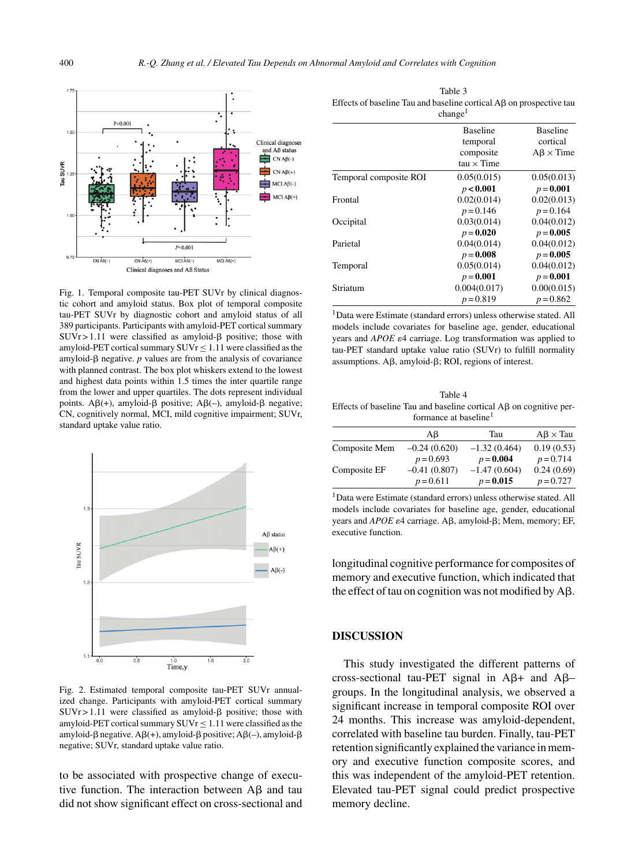

Fig. 1. Temporal composite tau-PET SUVr by clinical diagnostic cohort and amyloid status. Box plot of temporal composite tau-PET SUVr by diagnostic cohort and amyloid status of all 389 participants. Participants with amyloid-PET cortical summary  $SUVr > 1.11$  were classified as amyloid- $\beta$  positive; those with amyloid-PET cortical summary  $SUVr \le 1.11$  were classified as the amyloid- $\beta$  negative.  $p$  values are from the analysis of covariance with planned contrast. The box plot whiskers extend to the lowest and highest data points within 1.5 times the inter quartile range from the lower and upper quartiles. The dots represent individual points.  $A\beta(+)$ , amyloid- $\beta$  positive;  $A\beta(-)$ , amyloid- $\beta$  negative; CN, cognitively normal, MCI, mild cognitive impairment; SUVr, standard uptake value ratio.



Fig. 2. Estimated temporal composite tau-PET SUVr annualized change. Participants with amyloid-PET cortical summary  $SUVr > 1.11$  were classified as amyloid- $\beta$  positive; those with amyloid-PET cortical summary  $SUVr \le 1.11$  were classified as the  $amyloid-\beta$  negative.  $A\beta(+)$ , amyloid- $\beta$  positive;  $A\beta(-)$ , amyloid- $\beta$ negative; SUVr, standard uptake value ratio.

to be associated with prospective change of executive function. The interaction between  $\text{A}\beta$  and tau did not show significant effect on cross-sectional and

Table 3 Effects of baseline Tau and baseline cortical  $\text{A}\beta$  on prospective tau

|                        | change <sup>1</sup>                                           |                                                 |
|------------------------|---------------------------------------------------------------|-------------------------------------------------|
|                        | <b>Baseline</b><br>temporal<br>composite<br>$tau \times Time$ | <b>Baseline</b><br>cortical<br>$AB \times Time$ |
| Temporal composite ROI | 0.05(0.015)                                                   | 0.05(0.013)                                     |
|                        | p < 0.001                                                     | $p = 0.001$                                     |
| Frontal                | 0.02(0.014)                                                   | 0.02(0.013)                                     |
|                        | $p = 0.146$                                                   | $p = 0.164$                                     |
| Occipital              | 0.03(0.014)                                                   | 0.04(0.012)                                     |
|                        | $p = 0.020$                                                   | $p = 0.005$                                     |
| Parietal               | 0.04(0.014)                                                   | 0.04(0.012)                                     |
|                        | $p = 0.008$                                                   | $p = 0.005$                                     |
| Temporal               | 0.05(0.014)                                                   | 0.04(0.012)                                     |
|                        | $p = 0.001$                                                   | $p = 0.001$                                     |
| Striatum               | 0.004(0.017)                                                  | 0.00(0.015)                                     |
|                        | $p = 0.819$                                                   | $p = 0.862$                                     |

1Data were Estimate (standard errors) unless otherwise stated. All models include covariates for baseline age, gender, educational years and *APOE* ε4 carriage. Log transformation was applied to tau-PET standard uptake value ratio (SUVr) to fulfill normality assumptions.  $A\beta$ , amyloid- $\beta$ ; ROI, regions of interest.

Table 4 Effects of baseline Tau and baseline cortical  $\text{A}\beta$  on cognitive performance at baseline<sup>1</sup>

|               | Aβ             | Tau            | $A\beta \times Tau$ |
|---------------|----------------|----------------|---------------------|
| Composite Mem | $-0.24(0.620)$ | $-1.32(0.464)$ | 0.19(0.53)          |
|               | $p = 0.693$    | $p = 0.004$    | $p = 0.714$         |
| Composite EF  | $-0.41(0.807)$ | $-1.47(0.604)$ | 0.24(0.69)          |
|               | $p = 0.611$    | $p = 0.015$    | $p = 0.727$         |

1Data were Estimate (standard errors) unless otherwise stated. All models include covariates for baseline age, gender, educational years and *APOE* ε4 carriage. Aβ, amyloid-β; Mem, memory; EF, executive function.

longitudinal cognitive performance for composites of memory and executive function, which indicated that the effect of tau on cognition was not modified by  $A\beta$ .

#### **DISCUSSION**

This study investigated the different patterns of cross-sectional tau-PET signal in  $A\beta$ + and  $A\beta$ groups. In the longitudinal analysis, we observed a significant increase in temporal composite ROI over 24 months. This increase was amyloid-dependent, correlated with baseline tau burden. Finally, tau-PET retention significantly explained the variance in memory and executive function composite scores, and this was independent of the amyloid-PET retention. Elevated tau-PET signal could predict prospective memory decline.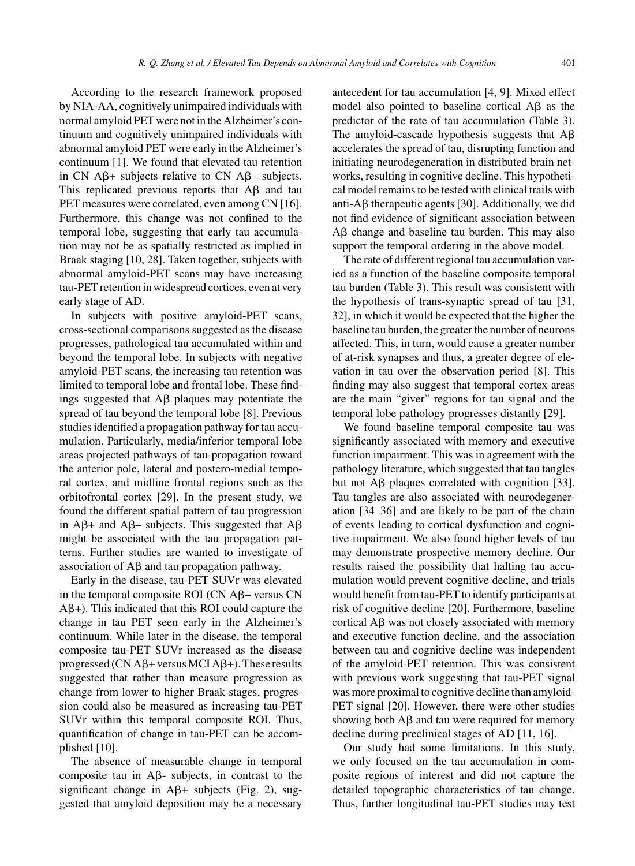According to the research framework proposed by NIA-AA, cognitively unimpaired individuals with normal amyloid PET were not in the Alzheimer's continuum and cognitively unimpaired individuals with abnormal amyloid PET were early in the Alzheimer's continuum [1]. We found that elevated tau retention in CN A $\beta$ + subjects relative to CN A $\beta$ – subjects. This replicated previous reports that  $\overrightarrow{AB}$  and tau PET measures were correlated, even among CN [16]. Furthermore, this change was not confined to the temporal lobe, suggesting that early tau accumulation may not be as spatially restricted as implied in Braak staging [10, 28]. Taken together, subjects with abnormal amyloid-PET scans may have increasing tau-PET retention in widespread cortices, even at very early stage of AD.

In subjects with positive amyloid-PET scans, cross-sectional comparisons suggested as the disease progresses, pathological tau accumulated within and beyond the temporal lobe. In subjects with negative amyloid-PET scans, the increasing tau retention was limited to temporal lobe and frontal lobe. These findings suggested that  $\overline{AB}$  plaques may potentiate the spread of tau beyond the temporal lobe [8]. Previous studies identified a propagation pathway for tau accumulation. Particularly, media/inferior temporal lobe areas projected pathways of tau-propagation toward the anterior pole, lateral and postero-medial temporal cortex, and midline frontal regions such as the orbitofrontal cortex [29]. In the present study, we found the different spatial pattern of tau progression in A $\beta$ + and A $\beta$ – subjects. This suggested that A $\beta$ might be associated with the tau propagation patterns. Further studies are wanted to investigate of association of  $A\beta$  and tau propagation pathway.

Early in the disease, tau-PET SUVr was elevated in the temporal composite ROI ( $CN$  A $\beta$ – versus  $CN$  $A\beta$ +). This indicated that this ROI could capture the change in tau PET seen early in the Alzheimer's continuum. While later in the disease, the temporal composite tau-PET SUVr increased as the disease progressed ( $CN A\beta + \text{versus } MCI A\beta +$ ). These results suggested that rather than measure progression as change from lower to higher Braak stages, progression could also be measured as increasing tau-PET SUVr within this temporal composite ROI. Thus, quantification of change in tau-PET can be accomplished [10].

The absence of measurable change in temporal composite tau in  $\mathsf{A}\mathsf{B}$ - subjects, in contrast to the significant change in  $\mathbf{A}\mathbf{B}$ + subjects (Fig. 2), suggested that amyloid deposition may be a necessary

antecedent for tau accumulation [4, 9]. Mixed effect model also pointed to baseline cortical  $\text{A}\beta$  as the predictor of the rate of tau accumulation (Table 3). The amyloid-cascade hypothesis suggests that  $A\beta$ accelerates the spread of tau, disrupting function and initiating neurodegeneration in distributed brain networks, resulting in cognitive decline. This hypothetical model remains to be tested with clinical trails with anti-A $\beta$  therapeutic agents [30]. Additionally, we did not find evidence of significant association between  $A\beta$  change and baseline tau burden. This may also support the temporal ordering in the above model.

The rate of different regional tau accumulation varied as a function of the baseline composite temporal tau burden (Table 3). This result was consistent with the hypothesis of trans-synaptic spread of tau [31, 32], in which it would be expected that the higher the baseline tau burden, the greater the number of neurons affected. This, in turn, would cause a greater number of at-risk synapses and thus, a greater degree of elevation in tau over the observation period [8]. This finding may also suggest that temporal cortex areas are the main "giver" regions for tau signal and the temporal lobe pathology progresses distantly [29].

We found baseline temporal composite tau was significantly associated with memory and executive function impairment. This was in agreement with the pathology literature, which suggested that tau tangles but not  $\text{A}\beta$  plaques correlated with cognition [33]. Tau tangles are also associated with neurodegeneration [34–36] and are likely to be part of the chain of events leading to cortical dysfunction and cognitive impairment. We also found higher levels of tau may demonstrate prospective memory decline. Our results raised the possibility that halting tau accumulation would prevent cognitive decline, and trials would benefit from tau-PET to identify participants at risk of cognitive decline [20]. Furthermore, baseline cortical  $\text{A}\beta$  was not closely associated with memory and executive function decline, and the association between tau and cognitive decline was independent of the amyloid-PET retention. This was consistent with previous work suggesting that tau-PET signal was more proximal to cognitive decline than amyloid-PET signal [20]. However, there were other studies showing both  $\text{A}\beta$  and tau were required for memory decline during preclinical stages of AD [11, 16].

Our study had some limitations. In this study, we only focused on the tau accumulation in composite regions of interest and did not capture the detailed topographic characteristics of tau change. Thus, further longitudinal tau-PET studies may test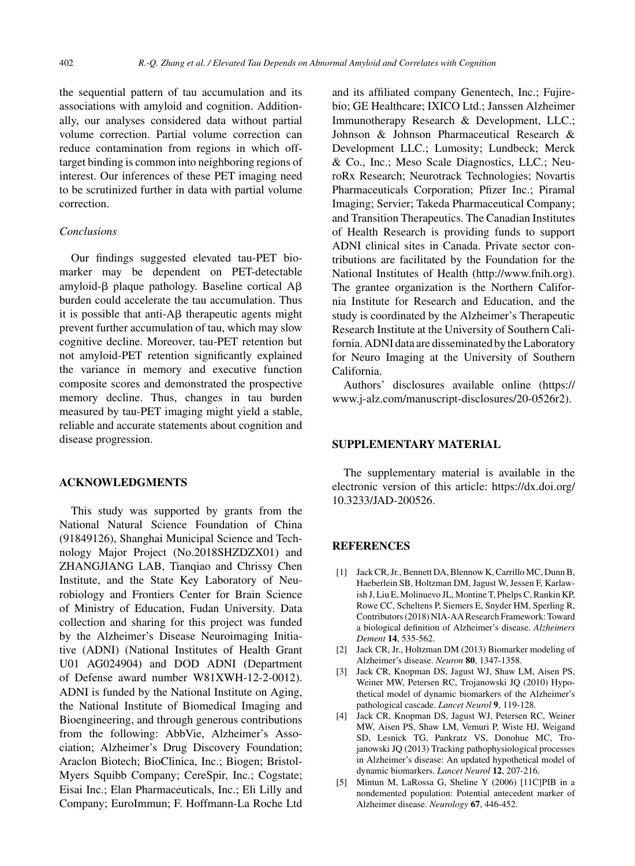the sequential pattern of tau accumulation and its associations with amyloid and cognition. Additionally, our analyses considered data without partial volume correction. Partial volume correction can reduce contamination from regions in which offtarget binding is common into neighboring regions of interest. Our inferences of these PET imaging need to be scrutinized further in data with partial volume correction.

## *Conclusions*

Our findings suggested elevated tau-PET biomarker may be dependent on PET-detectable amyloid- $\beta$  plaque pathology. Baseline cortical A $\beta$ burden could accelerate the tau accumulation. Thus it is possible that anti- $\Delta\beta$  therapeutic agents might prevent further accumulation of tau, which may slow cognitive decline. Moreover, tau-PET retention but not amyloid-PET retention significantly explained the variance in memory and executive function composite scores and demonstrated the prospective memory decline. Thus, changes in tau burden measured by tau-PET imaging might yield a stable, reliable and accurate statements about cognition and disease progression.

## **ACKNOWLEDGMENTS**

This study was supported by grants from the National Natural Science Foundation of China (91849126), Shanghai Municipal Science and Technology Major Project (No.2018SHZDZX01) and ZHANGJIANG LAB, Tianqiao and Chrissy Chen Institute, and the State Key Laboratory of Neurobiology and Frontiers Center for Brain Science of Ministry of Education, Fudan University. Data collection and sharing for this project was funded by the Alzheimer's Disease Neuroimaging Initiative (ADNI) (National Institutes of Health Grant U01 AG024904) and DOD ADNI (Department of Defense award number W81XWH-12-2-0012). ADNI is funded by the National Institute on Aging, the National Institute of Biomedical Imaging and Bioengineering, and through generous contributions from the following: AbbVie, Alzheimer's Association; Alzheimer's Drug Discovery Foundation; Araclon Biotech; BioClinica, Inc.; Biogen; Bristol-Myers Squibb Company; CereSpir, Inc.; Cogstate; Eisai Inc.; Elan Pharmaceuticals, Inc.; Eli Lilly and Company; EuroImmun; F. Hoffmann-La Roche Ltd and its affiliated company Genentech, Inc.; Fujirebio; GE Healthcare; IXICO Ltd.; Janssen Alzheimer Immunotherapy Research & Development, LLC.; Johnson & Johnson Pharmaceutical Research & Development LLC.; Lumosity; Lundbeck; Merck & Co., Inc.; Meso Scale Diagnostics, LLC.; NeuroRx Research; Neurotrack Technologies; Novartis Pharmaceuticals Corporation; Pfizer Inc.; Piramal Imaging; Servier; Takeda Pharmaceutical Company; and Transition Therapeutics. The Canadian Institutes of Health Research is providing funds to support ADNI clinical sites in Canada. Private sector contributions are facilitated by the Foundation for the National Institutes of Health [\(http://www.fnih.org](http://www.fnih.org)). The grantee organization is the Northern California Institute for Research and Education, and the study is coordinated by the Alzheimer's Therapeutic Research Institute at the University of Southern California. ADNI data are disseminated by the Laboratory for Neuro Imaging at the University of Southern California.

Authors' disclosures available online [\(https://](https://www.j-alz.com/manuscript-disclosures/20-0526r2) www.j-alz.com/manuscript-disclosures/20-0526r2).

## **SUPPLEMENTARY MATERIAL**

The supplementary material is available in the electronic version of this article: [https://dx.doi.org/](https://dx.doi.org/10.3233/JAD-200526) 10.3233/JAD-200526.

## **REFERENCES**

- [1] Jack CR, Jr., Bennett DA, Blennow K, Carrillo MC, Dunn B, Haeberlein SB, Holtzman DM, Jagust W, Jessen F, Karlawish J, Liu E, Molinuevo JL, Montine T, Phelps C, Rankin KP, Rowe CC, Scheltens P, Siemers E, Snyder HM, Sperling R, Contributors (2018) NIA-AA Research Framework: Toward a biological definition of Alzheimer's disease. *Alzheimers Dement* **14**, 535-562.
- [2] Jack CR, Jr., Holtzman DM (2013) Biomarker modeling of Alzheimer's disease. *Neuron* **80**, 1347-1358.
- [3] Jack CR, Knopman DS, Jagust WJ, Shaw LM, Aisen PS, Weiner MW, Petersen RC, Trojanowski JQ (2010) Hypothetical model of dynamic biomarkers of the Alzheimer's pathological cascade. *Lancet Neurol* **9**, 119-128.
- [4] Jack CR, Knopman DS, Jagust WJ, Petersen RC, Weiner MW, Aisen PS, Shaw LM, Vemuri P, Wiste HJ, Weigand SD, Lesnick TG, Pankratz VS, Donohue MC, Trojanowski JQ (2013) Tracking pathophysiological processes in Alzheimer's disease: An updated hypothetical model of dynamic biomarkers. *Lancet Neurol* **12**, 207-216.
- [5] Mintun M, LaRossa G, Sheline Y (2006) [11C]PIB in a nondemented population: Potential antecedent marker of Alzheimer disease. *Neurology* **67**, 446-452.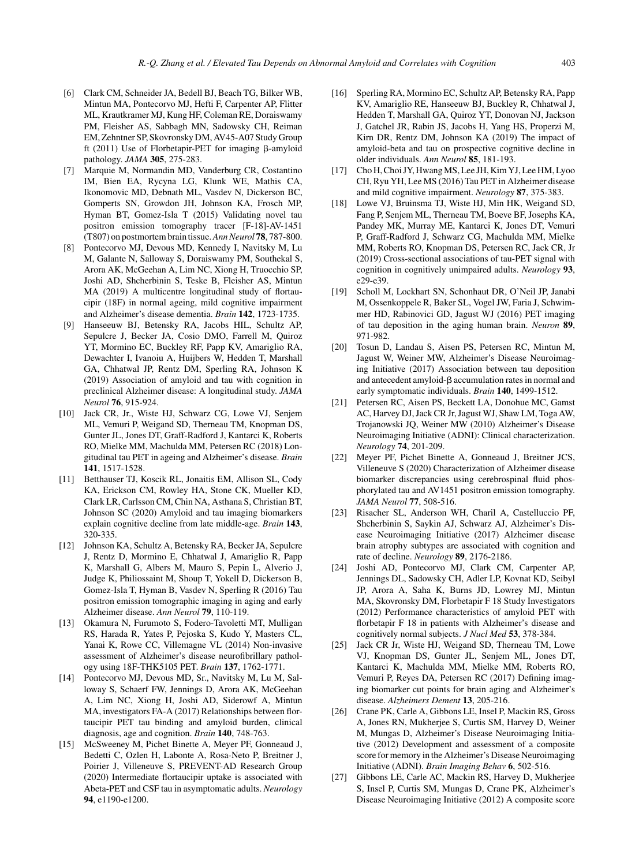- [6] Clark CM, Schneider JA, Bedell BJ, Beach TG, Bilker WB, Mintun MA, Pontecorvo MJ, Hefti F, Carpenter AP, Flitter ML, Krautkramer MJ, Kung HF, Coleman RE, Doraiswamy PM, Fleisher AS, Sabbagh MN, Sadowsky CH, Reiman EM, Zehntner SP, Skovronsky DM, AV45-A07 Study Group ft (2011) Use of Florbetapir-PET for imaging  $\beta$ -amyloid pathology. *JAMA* **305**, 275-283.
- [7] Marquie M, Normandin MD, Vanderburg CR, Costantino IM, Bien EA, Rycyna LG, Klunk WE, Mathis CA, Ikonomovic MD, Debnath ML, Vasdev N, Dickerson BC, Gomperts SN, Growdon JH, Johnson KA, Frosch MP, Hyman BT, Gomez-Isla T (2015) Validating novel tau positron emission tomography tracer [F-18]-AV-1451 (T807) on postmortem brain tissue.*Ann Neurol* **78**, 787-800.
- [8] Pontecorvo MJ, Devous MD, Kennedy I, Navitsky M, Lu M, Galante N, Salloway S, Doraiswamy PM, Southekal S, Arora AK, McGeehan A, Lim NC, Xiong H, Truocchio SP, Joshi AD, Shcherbinin S, Teske B, Fleisher AS, Mintun MA (2019) A multicentre longitudinal study of flortaucipir (18F) in normal ageing, mild cognitive impairment and Alzheimer's disease dementia. *Brain* **142**, 1723-1735.
- [9] Hanseeuw BJ, Betensky RA, Jacobs HIL, Schultz AP, Sepulcre J, Becker JA, Cosio DMO, Farrell M, Quiroz YT, Mormino EC, Buckley RF, Papp KV, Amariglio RA, Dewachter I, Ivanoiu A, Huijbers W, Hedden T, Marshall GA, Chhatwal JP, Rentz DM, Sperling RA, Johnson K (2019) Association of amyloid and tau with cognition in preclinical Alzheimer disease: A longitudinal study. *JAMA Neurol* **76**, 915-924.
- [10] Jack CR, Jr., Wiste HJ, Schwarz CG, Lowe VJ, Senjem ML, Vemuri P, Weigand SD, Therneau TM, Knopman DS, Gunter JL, Jones DT, Graff-Radford J, Kantarci K, Roberts RO, Mielke MM, Machulda MM, Petersen RC (2018) Longitudinal tau PET in ageing and Alzheimer's disease. *Brain* **141**, 1517-1528.
- [11] Betthauser TJ, Koscik RL, Jonaitis EM, Allison SL, Cody KA, Erickson CM, Rowley HA, Stone CK, Mueller KD, Clark LR, Carlsson CM, Chin NA, Asthana S, Christian BT, Johnson SC (2020) Amyloid and tau imaging biomarkers explain cognitive decline from late middle-age. *Brain* **143**, 320-335.
- [12] Johnson KA, Schultz A, Betensky RA, Becker JA, Sepulcre J, Rentz D, Mormino E, Chhatwal J, Amariglio R, Papp K, Marshall G, Albers M, Mauro S, Pepin L, Alverio J, Judge K, Philiossaint M, Shoup T, Yokell D, Dickerson B, Gomez-Isla T, Hyman B, Vasdev N, Sperling R (2016) Tau positron emission tomographic imaging in aging and early Alzheimer disease. *Ann Neurol* **79**, 110-119.
- [13] Okamura N, Furumoto S, Fodero-Tavoletti MT, Mulligan RS, Harada R, Yates P, Pejoska S, Kudo Y, Masters CL, Yanai K, Rowe CC, Villemagne VL (2014) Non-invasive assessment of Alzheimer's disease neurofibrillary pathology using 18F-THK5105 PET. *Brain* **137**, 1762-1771.
- [14] Pontecorvo MJ, Devous MD, Sr., Navitsky M, Lu M, Salloway S, Schaerf FW, Jennings D, Arora AK, McGeehan A, Lim NC, Xiong H, Joshi AD, Siderowf A, Mintun MA, investigators FA-A (2017) Relationships between flortaucipir PET tau binding and amyloid burden, clinical diagnosis, age and cognition. *Brain* **140**, 748-763.
- [15] McSweeney M, Pichet Binette A, Meyer PF, Gonneaud J, Bedetti C, Ozlen H, Labonte A, Rosa-Neto P, Breitner J, Poirier J, Villeneuve S, PREVENT-AD Research Group (2020) Intermediate flortaucipir uptake is associated with Abeta-PET and CSF tau in asymptomatic adults. *Neurology* **94**, e1190-e1200.
- [16] Sperling RA, Mormino EC, Schultz AP, Betensky RA, Papp KV, Amariglio RE, Hanseeuw BJ, Buckley R, Chhatwal J, Hedden T, Marshall GA, Quiroz YT, Donovan NJ, Jackson J, Gatchel JR, Rabin JS, Jacobs H, Yang HS, Properzi M, Kirn DR, Rentz DM, Johnson KA (2019) The impact of amyloid-beta and tau on prospective cognitive decline in older individuals. *Ann Neurol* **85**, 181-193.
- [17] Cho H, Choi JY, Hwang MS, Lee JH, Kim YJ, Lee HM, Lyoo CH, Ryu YH, Lee MS (2016) Tau PET in Alzheimer disease and mild cognitive impairment. *Neurology* **87**, 375-383.
- [18] Lowe VJ, Bruinsma TJ, Wiste HJ, Min HK, Weigand SD, Fang P, Senjem ML, Therneau TM, Boeve BF, Josephs KA, Pandey MK, Murray ME, Kantarci K, Jones DT, Vemuri P, Graff-Radford J, Schwarz CG, Machulda MM, Mielke MM, Roberts RO, Knopman DS, Petersen RC, Jack CR, Jr (2019) Cross-sectional associations of tau-PET signal with cognition in cognitively unimpaired adults. *Neurology* **93**, e29-e39.
- [19] Scholl M, Lockhart SN, Schonhaut DR, O'Neil JP, Janabi M, Ossenkoppele R, Baker SL, Vogel JW, Faria J, Schwimmer HD, Rabinovici GD, Jagust WJ (2016) PET imaging of tau deposition in the aging human brain. *Neuron* **89**, 971-982.
- [20] Tosun D, Landau S, Aisen PS, Petersen RC, Mintun M, Jagust W, Weiner MW, Alzheimer's Disease Neuroimaging Initiative (2017) Association between tau deposition and antecedent amyloid- $\beta$  accumulation rates in normal and early symptomatic individuals. *Brain* **140**, 1499-1512.
- [21] Petersen RC, Aisen PS, Beckett LA, Donohue MC, Gamst AC, Harvey DJ, Jack CR Jr, Jagust WJ, Shaw LM, Toga AW, Trojanowski JQ, Weiner MW (2010) Alzheimer's Disease Neuroimaging Initiative (ADNI): Clinical characterization. *Neurology* **74**, 201-209.
- [22] Meyer PF, Pichet Binette A, Gonneaud J, Breitner JCS, Villeneuve S (2020) Characterization of Alzheimer disease biomarker discrepancies using cerebrospinal fluid phosphorylated tau and AV1451 positron emission tomography. *JAMA Neurol* **77**, 508-516.
- [23] Risacher SL, Anderson WH, Charil A, Castelluccio PF, Shcherbinin S, Saykin AJ, Schwarz AJ, Alzheimer's Disease Neuroimaging Initiative (2017) Alzheimer disease brain atrophy subtypes are associated with cognition and rate of decline. *Neurology* **89**, 2176-2186.
- [24] Joshi AD, Pontecorvo MJ, Clark CM, Carpenter AP, Jennings DL, Sadowsky CH, Adler LP, Kovnat KD, Seibyl JP, Arora A, Saha K, Burns JD, Lowrey MJ, Mintun MA, Skovronsky DM, Florbetapir F 18 Study Investigators (2012) Performance characteristics of amyloid PET with florbetapir F 18 in patients with Alzheimer's disease and cognitively normal subjects. *J Nucl Med* **53**, 378-384.
- [25] Jack CR Jr, Wiste HJ, Weigand SD, Therneau TM, Lowe VJ, Knopman DS, Gunter JL, Senjem ML, Jones DT, Kantarci K, Machulda MM, Mielke MM, Roberts RO, Vemuri P, Reyes DA, Petersen RC (2017) Defining imaging biomarker cut points for brain aging and Alzheimer's disease. *Alzheimers Dement* **13**, 205-216.
- [26] Crane PK, Carle A, Gibbons LE, Insel P, Mackin RS, Gross A, Jones RN, Mukherjee S, Curtis SM, Harvey D, Weiner M, Mungas D, Alzheimer's Disease Neuroimaging Initiative (2012) Development and assessment of a composite score for memory in the Alzheimer's Disease Neuroimaging Initiative (ADNI). *Brain Imaging Behav* **6**, 502-516.
- [27] Gibbons LE, Carle AC, Mackin RS, Harvey D, Mukherjee S, Insel P, Curtis SM, Mungas D, Crane PK, Alzheimer's Disease Neuroimaging Initiative (2012) A composite score